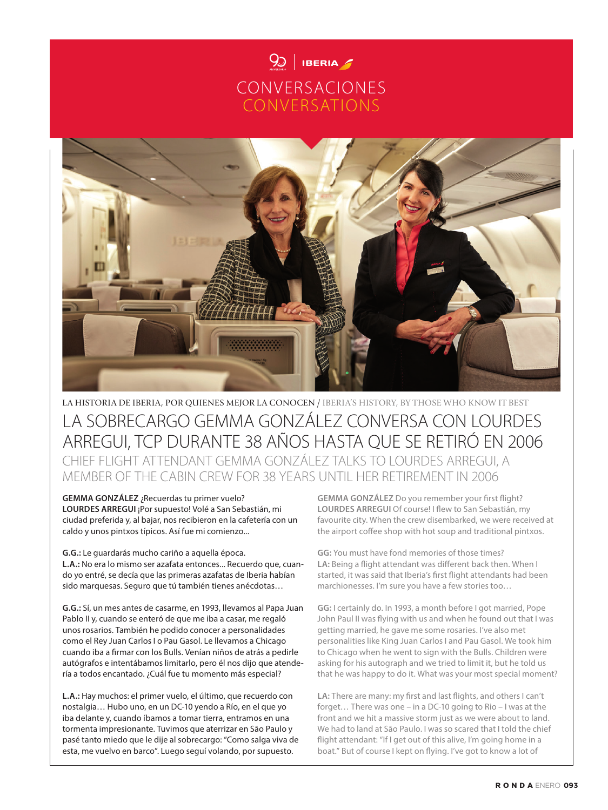



## LA HISTORIA DE IBERIA, POR QUIENES MEJOR LA CONOCEN / IBERIA'S HISTORY, BY THOSE WHO KNOW IT BEST LA SOBRECARGO GEMMA GONZÁLEZ CONVERSA CON LOURDES ARREGUI, TCP DURANTE 38 AÑOS HASTA QUE SE RETIRÓ EN 2006 CHIEF FLIGHT ATTENDANT GEMMA GONZÁLEZ TALKS TO LOURDES ARREGUI, A

MEMBER OF THE CABIN CREW FOR 38 YEARS UNTIL HER RETIREMENT IN 2006 **GEMMA GONZÁLEZ** ¿Recuerdas tu primer vuelo?

**LOURDES ARREGUI** ¡Por supuesto! Volé a San Sebastián, mi ciudad preferida y, al bajar, nos recibieron en la cafetería con un caldo y unos pintxos típicos. Así fue mi comienzo...

**G.G.:** Le guardarás mucho cariño a aquella época. **L.A.:** No era lo mismo ser azafata entonces... Recuerdo que, cuando yo entré, se decía que las primeras azafatas de Iberia habían sido marquesas. Seguro que tú también tienes anécdotas…

**G.G.:** Sí, un mes antes de casarme, en 1993, llevamos al Papa Juan Pablo II y, cuando se enteró de que me iba a casar, me regaló unos rosarios. También he podido conocer a personalidades como el Rey Juan Carlos I o Pau Gasol. Le llevamos a Chicago cuando iba a firmar con los Bulls. Venían niños de atrás a pedirle autógrafos e intentábamos limitarlo, pero él nos dijo que atendería a todos encantado. ¿Cuál fue tu momento más especial?

**L.A.:** Hay muchos: el primer vuelo, el último, que recuerdo con nostalgia… Hubo uno, en un DC-10 yendo a Río, en el que yo iba delante y, cuando íbamos a tomar tierra, entramos en una tormenta impresionante. Tuvimos que aterrizar en São Paulo y pasé tanto miedo que le dije al sobrecargo: "Como salga viva de esta, me vuelvo en barco". Luego seguí volando, por supuesto.

**GEMMA GONZÁLEZ** Do you remember your first flight? **LOURDES ARREGUI** Of course! I flew to San Sebastián, my favourite city. When the crew disembarked, we were received at the airport coffee shop with hot soup and traditional pintxos.

**GG:** You must have fond memories of those times? LA: Being a flight attendant was different back then. When I started, it was said that Iberia's first flight attendants had been marchionesses. I'm sure you have a few stories too…

**GG:** I certainly do. In 1993, a month before I got married, Pope John Paul II was flying with us and when he found out that I was getting married, he gave me some rosaries. I've also met personalities like King Juan Carlos I and Pau Gasol. We took him to Chicago when he went to sign with the Bulls. Children were asking for his autograph and we tried to limit it, but he told us that he was happy to do it. What was your most special moment?

LA: There are many: my first and last flights, and others I can't forget… There was one – in a DC-10 going to Rio – I was at the front and we hit a massive storm just as we were about to land. We had to land at São Paulo. I was so scared that I told the chief flight attendant: "If I get out of this alive, I'm going home in a boat." But of course I kept on flying. I've got to know a lot of